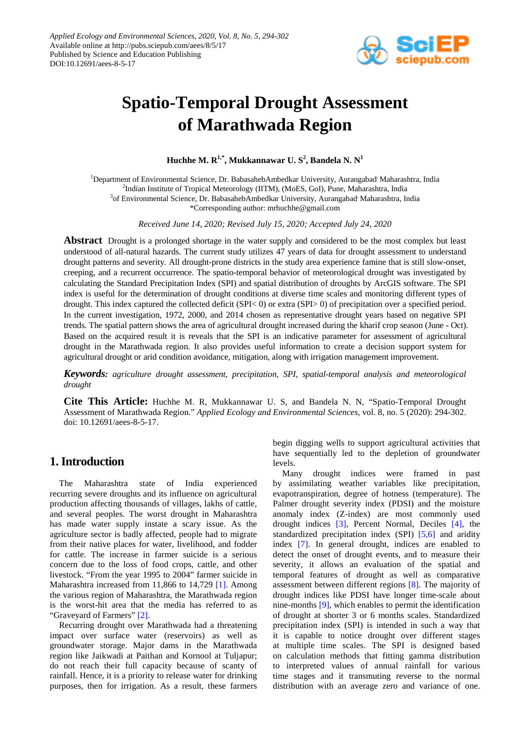

# **Spatio-Temporal Drought Assessment of Marathwada Region**

 $\mathbf{H}$ uchhe $\mathbf{M}$ .  $\mathbf{R}^{1,*}$ , Mukkannawar U.  $\mathbf{S}^2$ , Bandela N.  $\mathbf{N}^1$ 

<sup>1</sup>Department of Environmental Science, Dr. BabasahebAmbedkar University, Aurangabad<sup>,</sup> Maharashtra, India <sup>2</sup>Indian Institute of Tropical Meteorology (IITM), (MoES, GoI), Pune, Maharashtra, India <sup>3</sup>of Environmental Science, Dr. BabasahebAmbedkar University, Aurangabad Maharashtra, India \*Corresponding author: mrhuchhe@gmail.com

*Received June 14, 2020; Revised July 15, 2020; Accepted July 24, 2020*

**Abstract** Drought is a prolonged shortage in the water supply and considered to be the most complex but least understood of all-natural hazards. The current study utilizes 47 years of data for drought assessment to understand drought patterns and severity. All drought-prone districts in the study area experience famine that is still slow-onset, creeping, and a recurrent occurrence. The spatio-temporal behavior of meteorological drought was investigated by calculating the Standard Precipitation Index (SPI) and spatial distribution of droughts by ArcGIS software. The SPI index is useful for the determination of drought conditions at diverse time scales and monitoring different types of drought. This index captured the collected deficit (SPI< 0) or extra (SPI> 0) of precipitation over a specified period. In the current investigation, 1972, 2000, and 2014 chosen as representative drought years based on negative SPI trends. The spatial pattern shows the area of agricultural drought increased during the kharif crop season (June - Oct). Based on the acquired result it is reveals that the SPI is an indicative parameter for assessment of agricultural drought in the Marathwada region. It also provides useful information to create a decision support system for agricultural drought or arid condition avoidance, mitigation, along with irrigation management improvement.

*Keywords: agriculture drought assessment, precipitation, SPI, spatial-temporal analysis and meteorological drought*

**Cite This Article:** Huchhe M. R, Mukkannawar U. S, and Bandela N. N, "Spatio-Temporal Drought Assessment of Marathwada Region." *Applied Ecology and Environmental Sciences*, vol. 8, no. 5 (2020): 294-302. doi: 10.12691/aees-8-5-17.

# **1. Introduction**

The Maharashtra state of India experienced recurring severe droughts and its influence on agricultural production affecting thousands of villages, lakhs of cattle, and several peoples. The worst drought in Maharashtra has made water supply instate a scary issue. As the agriculture sector is badly affected, people had to migrate from their native places for water, livelihood, and fodder for cattle. The increase in farmer suicide is a serious concern due to the loss of food crops, cattle, and other livestock. "From the year 1995 to 2004" farmer suicide in Maharashtra increased from 11,866 to 14,729 [\[1\].](#page-7-0) Among the various region of Maharashtra, the Marathwada region is the worst-hit area that the media has referred to as "Graveyard of Farmers" [\[2\].](#page-7-1)

Recurring drought over Marathwada had a threatening impact over surface water (reservoirs) as well as groundwater storage. Major dams in the Marathwada region like Jaikwadi at Paithan and Kornool at Tuljapur; do not reach their full capacity because of scanty of rainfall. Hence, it is a priority to release water for drinking purposes, then for irrigation. As a result, these farmers

begin digging wells to support agricultural activities that have sequentially led to the depletion of groundwater levels.

Many drought indices were framed in past by assimilating weather variables like precipitation, evapotranspiration, degree of hotness (temperature). The Palmer drought severity index (PDSI) and the moisture anomaly index (Z-index) are most commonly used drought indices [\[3\],](#page-7-2) Percent Normal, Deciles [\[4\],](#page-7-3) the standardized precipitation index (SPI) [\[5,6\]](#page-7-4) and aridity index [\[7\].](#page-7-5) In general drought, indices are enabled to detect the onset of drought events, and to measure their severity, it allows an evaluation of the spatial and temporal features of drought as well as comparative assessment between different regions [\[8\].](#page-7-6) The majority of drought indices like PDSI have longer time-scale about nine-month[s \[9\],](#page-7-7) which enables to permit the identification of drought at shorter 3 or 6 months scales. Standardized precipitation index (SPI) is intended in such a way that it is capable to notice drought over different stages at multiple time scales. The SPI is designed based on calculation methods that fitting gamma distribution to interpreted values of annual rainfall for various time stages and it transmuting reverse to the normal distribution with an average zero and variance of one.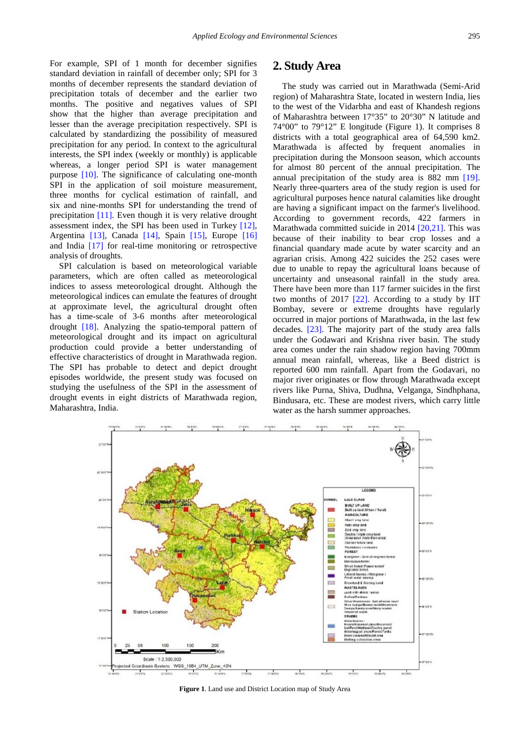For example, SPI of 1 month for december signifies standard deviation in rainfall of december only; SPI for 3 months of december represents the standard deviation of precipitation totals of december and the earlier two months. The positive and negatives values of SPI show that the higher than average precipitation and lesser than the average precipitation respectively. SPI is calculated by standardizing the possibility of measured precipitation for any period. In context to the agricultural interests, the SPI index (weekly or monthly) is applicable whereas, a longer period SPI is water management purpose [\[10\].](#page-7-8) The significance of calculating one-month SPI in the application of soil moisture measurement, three months for cyclical estimation of rainfall, and six and nine-months SPI for understanding the trend of precipitation [\[11\].](#page-7-9) Even though it is very relative drought assessment index, the SPI has been used in Turkey [\[12\],](#page-7-10) Argentina [\[13\],](#page-7-11) Canada [\[14\],](#page-7-12) Spain [\[15\],](#page-7-13) Europe [\[16\]](#page-7-14) and India [\[17\]](#page-7-15) for real-time monitoring or retrospective analysis of droughts.

SPI calculation is based on meteorological variable parameters, which are often called as meteorological indices to assess meteorological drought. Although the meteorological indices can emulate the features of drought at approximate level, the agricultural drought often has a time-scale of 3-6 months after meteorological drought [\[18\].](#page-7-16) Analyzing the spatio-temporal pattern of meteorological drought and its impact on agricultural production could provide a better understanding of effective characteristics of drought in Marathwada region. The SPI has probable to detect and depict drought episodes worldwide, the present study was focused on studying the usefulness of the SPI in the assessment of drought events in eight districts of Marathwada region, Maharashtra, India.

## **2. Study Area**

The study was carried out in Marathwada (Semi-Arid region) of Maharashtra State, located in western India, lies to the west of the Vidarbha and east of Khandesh regions of Maharashtra between 17°35" to 20°30" N latitude and 74°00" to 79°12" E longitude (Figure 1). It comprises 8 districts with a total geographical area of 64,590 km2. Marathwada is affected by frequent anomalies in precipitation during the Monsoon season, which accounts for almost 80 percent of the annual precipitation. The annual precipitation of the study area is 882 mm [\[19\].](#page-7-17) Nearly three-quarters area of the study region is used for agricultural purposes hence natural calamities like drought are having a significant impact on the farmer's livelihood. According to government records, 422 farmers in Marathwada committed suicide in 2014 [\[20,21\].](#page-8-0) This was because of their inability to bear crop losses and a financial quandary made acute by water scarcity and an agrarian crisis. Among 422 suicides the 252 cases were due to unable to repay the agricultural loans because of uncertainty and unseasonal rainfall in the study area. There have been more than 117 farmer suicides in the first two months of 2017 [\[22\].](#page-8-1) According to a study by IIT Bombay, severe or extreme droughts have regularly occurred in major portions of Marathwada, in the last few decades. [\[23\].](#page-8-2) The majority part of the study area falls under the Godawari and Krishna river basin. The study area comes under the rain shadow region having 700mm annual mean rainfall, whereas, like a Beed district is reported 600 mm rainfall. Apart from the Godavari, no major river originates or flow through Marathwada except rivers like Purna, Shiva, Dudhna, Velganga, Sindhphana, Bindusara, etc. These are modest rivers, which carry little water as the harsh summer approaches.



**Figure 1**. Land use and District Location map of Study Area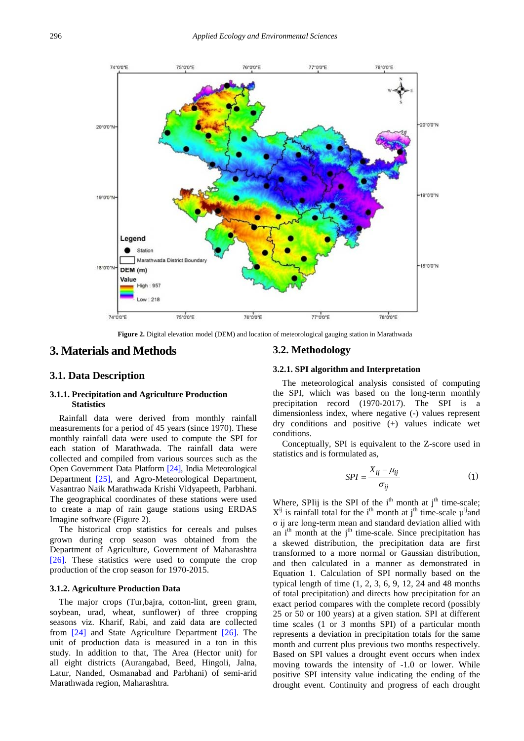

**Figure 2.** Digital elevation model (DEM) and location of meteorological gauging station in Marathwada

# **3. Materials and Methods**

## **3.1. Data Description**

## **3.1.1. Precipitation and Agriculture Production Statistics**

Rainfall data were derived from monthly rainfall measurements for a period of 45 years (since 1970). These monthly rainfall data were used to compute the SPI for each station of Marathwada. The rainfall data were collected and compiled from various sources such as the Open Government Data Platform [\[24\],](#page-8-3) India Meteorological Department [\[25\],](#page-8-4) and Agro-Meteorological Department, Vasantrao Naik Marathwada Krishi Vidyapeeth, Parbhani. The geographical coordinates of these stations were used to create a map of rain gauge stations using ERDAS Imagine software (Figure 2).

The historical crop statistics for cereals and pulses grown during crop season was obtained from the Department of Agriculture, Government of Maharashtra [\[26\].](#page-8-5) These statistics were used to compute the crop production of the crop season for 1970-2015.

## **3.1.2. Agriculture Production Data**

The major crops (Tur,bajra, cotton-lint, green gram, soybean, urad, wheat, sunflower) of three cropping seasons viz. Kharif, Rabi, and zaid data are collected from [\[24\]](#page-8-3) and State Agriculture Department [\[26\].](#page-8-5) The unit of production data is measured in a ton in this study. In addition to that, The Area (Hector unit) for all eight districts (Aurangabad, Beed, Hingoli, Jalna, Latur, Nanded, Osmanabad and Parbhani) of semi-arid Marathwada region, Maharashtra.

## **3.2. Methodology**

#### **3.2.1. SPI algorithm and Interpretation**

The meteorological analysis consisted of computing the SPI, which was based on the long-term monthly precipitation record (1970-2017). The SPI is a dimensionless index, where negative (-) values represent dry conditions and positive (+) values indicate wet conditions.

Conceptually, SPI is equivalent to the Z-score used in statistics and is formulated as,

$$
SPI = \frac{X_{ij} - \mu_{ij}}{\sigma_{ij}} \tag{1}
$$

Where, SPIij is the SPI of the  $i<sup>th</sup>$  month at  $j<sup>th</sup>$  time-scale;  $X^{ij}$  is rainfall total for the i<sup>th</sup> month at j<sup>th</sup> time-scale  $\mu^{ij}$  and σ ij are long-term mean and standard deviation allied with an i<sup>th</sup> month at the j<sup>th</sup> time-scale. Since precipitation has a skewed distribution, the precipitation data are first transformed to a more normal or Gaussian distribution, and then calculated in a manner as demonstrated in Equation 1. Calculation of SPI normally based on the typical length of time (1, 2, 3, 6, 9, 12, 24 and 48 months of total precipitation) and directs how precipitation for an exact period compares with the complete record (possibly 25 or 50 or 100 years) at a given station. SPI at different time scales (1 or 3 months SPI) of a particular month represents a deviation in precipitation totals for the same month and current plus previous two months respectively. Based on SPI values a drought event occurs when index moving towards the intensity of -1.0 or lower. While positive SPI intensity value indicating the ending of the drought event. Continuity and progress of each drought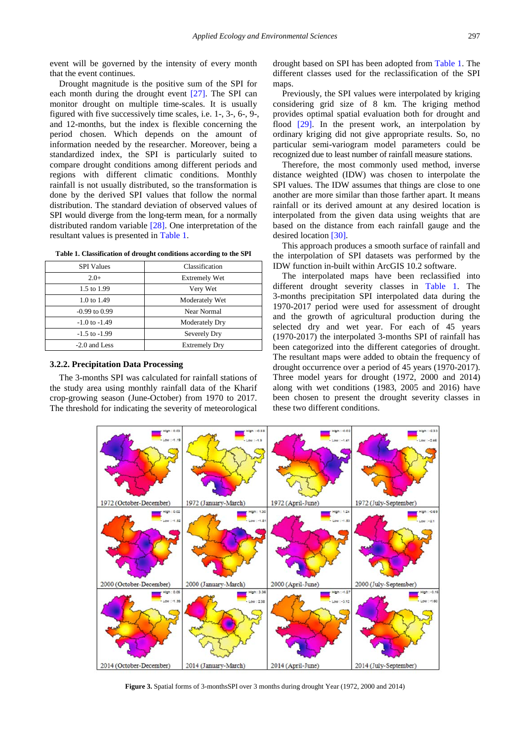event will be governed by the intensity of every month that the event continues.

Drought magnitude is the positive sum of the SPI for each month during the drought event [\[27\].](#page-8-6) The SPI can monitor drought on multiple time-scales. It is usually figured with five successively time scales, i.e. 1-, 3-, 6-, 9-, and 12-months, but the index is flexible concerning the period chosen. Which depends on the amount of information needed by the researcher. Moreover, being a standardized index, the SPI is particularly suited to compare drought conditions among different periods and regions with different climatic conditions. Monthly rainfall is not usually distributed, so the transformation is done by the derived SPI values that follow the normal distribution. The standard deviation of observed values of SPI would diverge from the long-term mean, for a normally distributed random variable [\[28\].](#page-8-7) One interpretation of the resultant values is presented in [Table 1.](#page-3-0)

**Table 1. Classification of drought conditions according to the SPI**

<span id="page-3-0"></span>

| <b>SPI</b> Values | Classification       |  |
|-------------------|----------------------|--|
| $2.0+$            | <b>Extremely Wet</b> |  |
| 1.5 to 1.99       | Very Wet             |  |
| 1.0 to 1.49       | Moderately Wet       |  |
| $-0.99$ to $0.99$ | Near Normal          |  |
| $-1.0$ to $-1.49$ | Moderately Dry       |  |
| $-1.5$ to $-1.99$ | Severely Dry         |  |
| $-2.0$ and Less   | <b>Extremely Dry</b> |  |
|                   |                      |  |

#### **3.2.2. Precipitation Data Processing**

The 3-months SPI was calculated for rainfall stations of the study area using monthly rainfall data of the Kharif crop-growing season (June-October) from 1970 to 2017. The threshold for indicating the severity of meteorological

drought based on SPI has been adopted from [Table 1.](#page-3-0) The different classes used for the reclassification of the SPI maps.

Previously, the SPI values were interpolated by kriging considering grid size of 8 km. The kriging method provides optimal spatial evaluation both for drought and flood [\[29\].](#page-8-8) In the present work, an interpolation by ordinary kriging did not give appropriate results. So, no particular semi-variogram model parameters could be recognized due to least number of rainfall measure stations.

Therefore, the most commonly used method, inverse distance weighted (IDW) was chosen to interpolate the SPI values. The IDW assumes that things are close to one another are more similar than those farther apart. It means rainfall or its derived amount at any desired location is interpolated from the given data using weights that are based on the distance from each rainfall gauge and the desired location [\[30\].](#page-8-9)

This approach produces a smooth surface of rainfall and the interpolation of SPI datasets was performed by the IDW function in-built within ArcGIS 10.2 software.

The interpolated maps have been reclassified into different drought severity classes in [Table 1.](#page-3-0) The 3-months precipitation SPI interpolated data during the 1970-2017 period were used for assessment of drought and the growth of agricultural production during the selected dry and wet year. For each of 45 years (1970-2017) the interpolated 3-months SPI of rainfall has been categorized into the different categories of drought. The resultant maps were added to obtain the frequency of drought occurrence over a period of 45 years (1970-2017). Three model years for drought (1972, 2000 and 2014) along with wet conditions (1983, 2005 and 2016) have been chosen to present the drought severity classes in these two different conditions.



**Figure 3.** Spatial forms of 3-monthsSPI over 3 months during drought Year (1972, 2000 and 2014)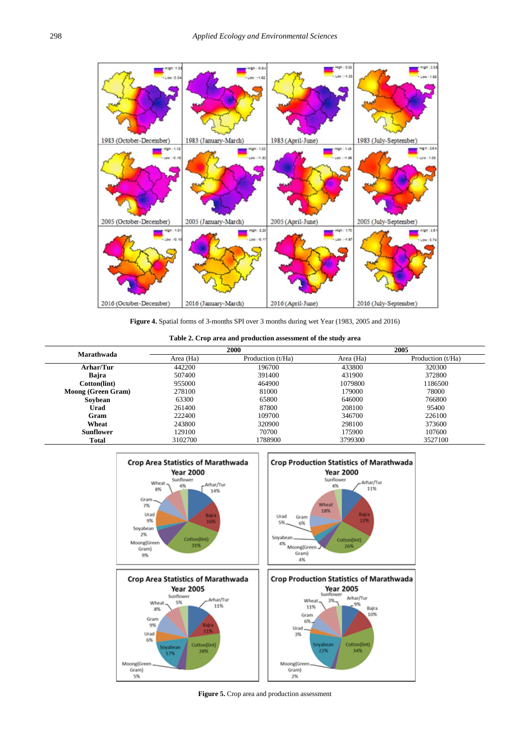

**Figure 4.** Spatial forms of 3-months SPI over 3 months during wet Year (1983, 2005 and 2016)

**Table 2. Crop area and production assessment of the study area**

<span id="page-4-0"></span>

| Marathwada                | 2000      |                   | 2005      |                   |
|---------------------------|-----------|-------------------|-----------|-------------------|
|                           | Area (Ha) | Production (t/Ha) | Area (Ha) | Production (t/Ha) |
| Arhar/Tur                 | 442200    | 196700            | 433800    | 320300            |
| <b>Bajra</b>              | 507400    | 391400            | 431900    | 372800            |
| Cotton(lint)              | 955000    | 464900            | 1079800   | 1186500           |
| <b>Moong (Green Gram)</b> | 278100    | 81000             | 179000    | 78000             |
| Sovbean                   | 63300     | 65800             | 646000    | 766800            |
| Urad                      | 261400    | 87800             | 208100    | 95400             |
| Gram                      | 222400    | 109700            | 346700    | 226100            |
| Wheat                     | 243800    | 320900            | 298100    | 373600            |
| <b>Sunflower</b>          | 129100    | 70700             | 175900    | 107600            |
| <b>Total</b>              | 3102700   | 1788900           | 3799300   | 3527100           |



**Figure 5.** Crop area and production assessment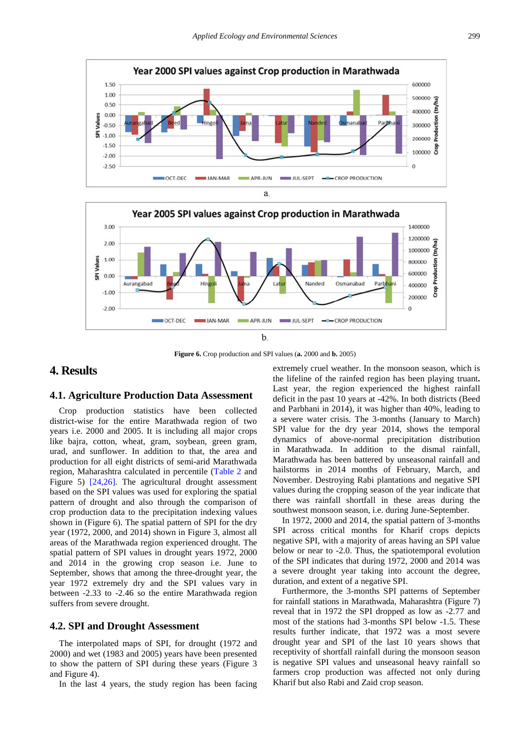



**Figure 6.** Crop production and SPI values (**a.** 2000 and **b.** 2005)

# **4. Results**

## **4.1. Agriculture Production Data Assessment**

Crop production statistics have been collected district-wise for the entire Marathwada region of two years i.e. 2000 and 2005. It is including all major crops like bajra, cotton, wheat, gram, soybean, green gram, urad, and sunflower. In addition to that, the area and production for all eight districts of semi-arid Marathwada region, Maharashtra calculated in percentile [\(Table 2](#page-4-0) and Figure 5) [\[24,26\].](#page-8-3) The agricultural drought assessment based on the SPI values was used for exploring the spatial pattern of drought and also through the comparison of crop production data to the precipitation indexing values shown in (Figure 6). The spatial pattern of SPI for the dry year (1972, 2000, and 2014) shown in Figure 3, almost all areas of the Marathwada region experienced drought. The spatial pattern of SPI values in drought years 1972, 2000 and 2014 in the growing crop season i.e. June to September, shows that among the three-drought year, the year 1972 extremely dry and the SPI values vary in between -2.33 to -2.46 so the entire Marathwada region suffers from severe drought.

## **4.2. SPI and Drought Assessment**

The interpolated maps of SPI, for drought (1972 and 2000) and wet (1983 and 2005) years have been presented to show the pattern of SPI during these years (Figure 3 and Figure 4).

In the last 4 years, the study region has been facing

extremely cruel weather. In the monsoon season, which is the lifeline of the rainfed region has been playing truant**.**  Last year, the region experienced the highest rainfall deficit in the past 10 years at -42%. In both districts (Beed and Parbhani in 2014), it was higher than 40%, leading to a severe water crisis. The 3-months (January to March) SPI value for the dry year 2014, shows the temporal dynamics of above-normal precipitation distribution in Marathwada. In addition to the dismal rainfall, Marathwada has been battered by unseasonal rainfall and hailstorms in 2014 months of February, March, and November. Destroying Rabi plantations and negative SPI values during the cropping season of the year indicate that there was rainfall shortfall in these areas during the southwest monsoon season, i.e. during June-September.

In 1972, 2000 and 2014, the spatial pattern of 3-months SPI across critical months for Kharif crops depicts negative SPI, with a majority of areas having an SPI value below or near to -2.0. Thus, the spatiotemporal evolution of the SPI indicates that during 1972, 2000 and 2014 was a severe drought year taking into account the degree, duration, and extent of a negative SPI.

Furthermore, the 3-months SPI patterns of September for rainfall stations in Marathwada, Maharashtra (Figure 7) reveal that in 1972 the SPI dropped as low as -2.77 and most of the stations had 3-months SPI below -1.5. These results further indicate, that 1972 was a most severe drought year and SPI of the last 10 years shows that receptivity of shortfall rainfall during the monsoon season is negative SPI values and unseasonal heavy rainfall so farmers crop production was affected not only during Kharif but also Rabi and Zaid crop season.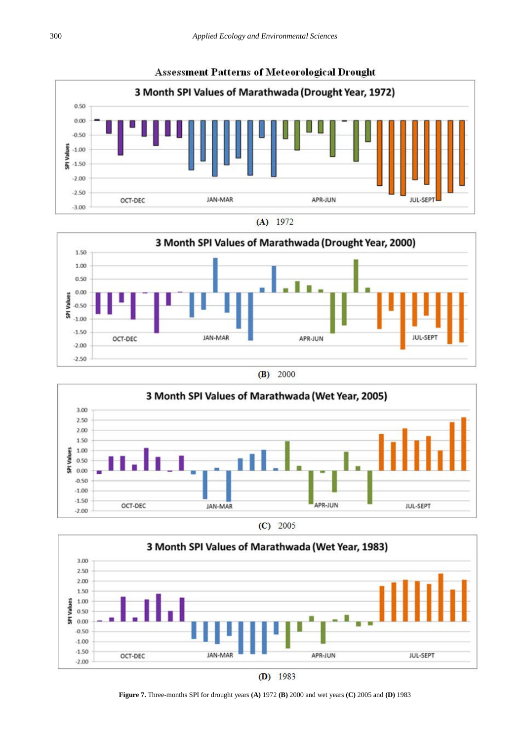

 $(A)$  1972



 $(B)$  2000







 $(D)$  1983

**Figure 7.** Three-months SPI for drought years **(A)** 1972 **(B)** 2000 and wet years **(C)** 2005 and **(D)** 1983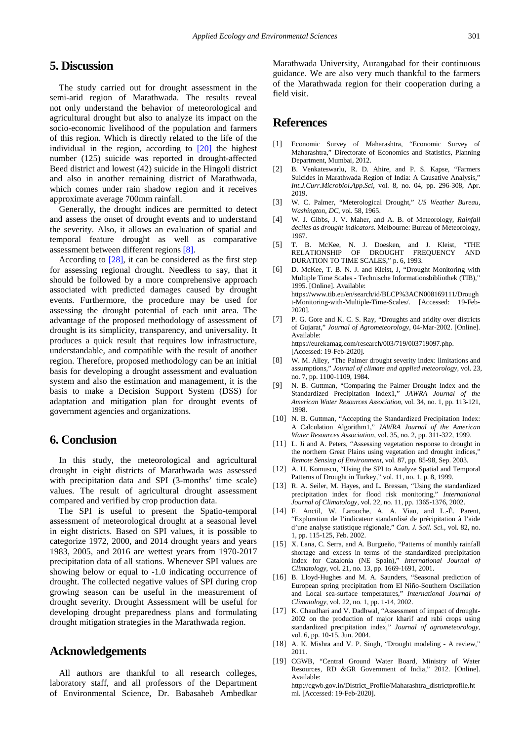# <span id="page-7-10"></span>**5. Discussion**

The study carried out for drought assessment in the semi-arid region of Marathwada. The results reveal not only understand the behavior of meteorological and agricultural drought but also to analyze its impact on the socio-economic livelihood of the population and farmers of this region. Which is directly related to the life of the individual in the region, according to [\[20\]](#page-8-0) the highest number (125) suicide was reported in drought-affected Beed district and lowest (42) suicide in the Hingoli district and also in another remaining district of Marathwada, which comes under rain shadow region and it receives approximate average 700mm rainfall.

Generally, the drought indices are permitted to detect and assess the onset of drought events and to understand the severity. Also, it allows an evaluation of spatial and temporal feature drought as well as comparative assessment between different regions [\[8\].](#page-7-6)

According to [\[28\],](#page-8-7) it can be considered as the first step for assessing regional drought. Needless to say, that it should be followed by a more comprehensive approach associated with predicted damages caused by drought events. Furthermore, the procedure may be used for assessing the drought potential of each unit area. The advantage of the proposed methodology of assessment of drought is its simplicity, transparency, and universality. It produces a quick result that requires low infrastructure, understandable, and compatible with the result of another region. Therefore, proposed methodology can be an initial basis for developing a drought assessment and evaluation system and also the estimation and management, it is the basis to make a Decision Support System (DSS) for adaptation and mitigation plan for drought events of government agencies and organizations.

# **6. Conclusion**

In this study, the meteorological and agricultural drought in eight districts of Marathwada was assessed with precipitation data and SPI (3-months' time scale) values. The result of agricultural drought assessment compared and verified by crop production data.

The SPI is useful to present the Spatio-temporal assessment of meteorological drought at a seasonal level in eight districts. Based on SPI values, it is possible to categorize 1972, 2000, and 2014 drought years and years 1983, 2005, and 2016 are wettest years from 1970-2017 precipitation data of all stations. Whenever SPI values are showing below or equal to -1.0 indicating occurrence of drought. The collected negative values of SPI during crop growing season can be useful in the measurement of drought severity. Drought Assessment will be useful for developing drought preparedness plans and formulating drought mitigation strategies in the Marathwada region.

## **Acknowledgements**

All authors are thankful to all research colleges, laboratory staff, and all professors of the Department of Environmental Science, Dr. Babasaheb Ambedkar Marathwada University, Aurangabad for their continuous guidance. We are also very much thankful to the farmers of the Marathwada region for their cooperation during a field visit.

# **References**

- <span id="page-7-0"></span>[1] Economic Survey of Maharashtra, "Economic Survey of Maharashtra," Directorate of Economics and Statistics, Planning Department, Mumbai, 2012.
- <span id="page-7-1"></span>[2] B. Venkateswarlu, R. D. Ahire, and P. S. Kapse, "Farmers Suicides in Marathwada Region of India: A Causative Analysis," *Int.J.Curr.Microbiol.App.Sci*, vol. 8, no. 04, pp. 296-308, Apr. 2019.
- <span id="page-7-2"></span>[3] W. C. Palmer, "Meterological Drought," *US Weather Bureau, Washington, DC*, vol. 58, 1965.
- <span id="page-7-3"></span>[4] W. J. Gibbs, J. V. Maher, and A. B. of Meteorology, *Rainfall deciles as drought indicators*. Melbourne: Bureau of Meteorology, 1967.
- <span id="page-7-4"></span>[5] T. B. McKee, N. J. Doesken, and J. Kleist, "THE RELATIONSHIP OF DROUGHT FREQUENCY AND DURATION TO TIME SCALES," p. 6, 1993.
- [6] D. McKee, T. B. N. J. and Kleist, J, "Drought Monitoring with Multiple Time Scales - Technische Informationsbibliothek (TIB)," 1995. [Online]. Available: https://www.tib.eu/en/search/id/BLCP%3ACN008169111/Drough t-Monitoring-with-Multiple-Time-Scales/. [Accessed: 19-Feb-2020].
- <span id="page-7-5"></span>[7] P. G. Gore and K. C. S. Ray, "Droughts and aridity over districts of Gujarat," *Journal of Agrometeorology*, 04-Mar-2002. [Online]. Available: https://eurekamag.com/research/003/719/003719097.php. [Accessed: 19-Feb-2020].
- <span id="page-7-6"></span>[8] W. M. Alley, "The Palmer drought severity index: limitations and assumptions," *Journal of climate and applied meteorology*, vol. 23, no. 7, pp. 1100-1109, 1984.
- <span id="page-7-7"></span>[9] N. B. Guttman, "Comparing the Palmer Drought Index and the Standardized Precipitation Index1," *JAWRA Journal of the American Water Resources Association*, vol. 34, no. 1, pp. 113-121, 1998.
- <span id="page-7-8"></span>[10] N. B. Guttman, "Accepting the Standardized Precipitation Index: A Calculation Algorithm1," *JAWRA Journal of the American Water Resources Association*, vol. 35, no. 2, pp. 311-322, 1999.
- <span id="page-7-9"></span>[11] L. Ji and A. Peters, "Assessing vegetation response to drought in the northern Great Plains using vegetation and drought indices," *Remote Sensing of Environment*, vol. 87, pp. 85-98, Sep. 2003.
- [12] A. U. Komuscu, "Using the SPI to Analyze Spatial and Temporal Patterns of Drought in Turkey," vol. 11, no. 1, p. 8, 1999.
- <span id="page-7-11"></span>[13] R. A. Seiler, M. Hayes, and L. Bressan, "Using the standardized precipitation index for flood risk monitoring," *International Journal of Climatology*, vol. 22, no. 11, pp. 1365-1376, 2002.
- <span id="page-7-12"></span>[14] F. Anctil, W. Larouche, A. A. Viau, and L.-É. Parent, "Exploration de l'indicateur standardisé de précipitation à l'aide d'une analyse statistique régionale," *Can. J. Soil. Sci.*, vol. 82, no. 1, pp. 115-125, Feb. 2002.
- <span id="page-7-13"></span>[15] X. Lana, C. Serra, and A. Burgueño, "Patterns of monthly rainfall shortage and excess in terms of the standardized precipitation index for Catalonia (NE Spain)," *International Journal of Climatology*, vol. 21, no. 13, pp. 1669-1691, 2001.
- <span id="page-7-14"></span>[16] B. Lloyd-Hughes and M. A. Saunders, "Seasonal prediction of European spring precipitation from El Niño-Southern Oscillation and Local sea-surface temperatures," *International Journal of Climatology*, vol. 22, no. 1, pp. 1-14, 2002.
- <span id="page-7-15"></span>[17] K. Chaudhari and V. Dadhwal, "Assessment of impact of drought-2002 on the production of major kharif and rabi crops using standardized precipitation index," *Journal of agrometeorology*, vol. 6, pp. 10-15, Jun. 2004.
- <span id="page-7-16"></span>[18] A. K. Mishra and V. P. Singh, "Drought modeling - A review," 2011.
- <span id="page-7-17"></span>[19] CGWB, "Central Ground Water Board, Ministry of Water Resources, RD &GR Government of India," 2012. [Online]. Available: http://cgwb.gov.in/District\_Profile/Maharashtra\_districtprofile.ht

ml. [Accessed: 19-Feb-2020].